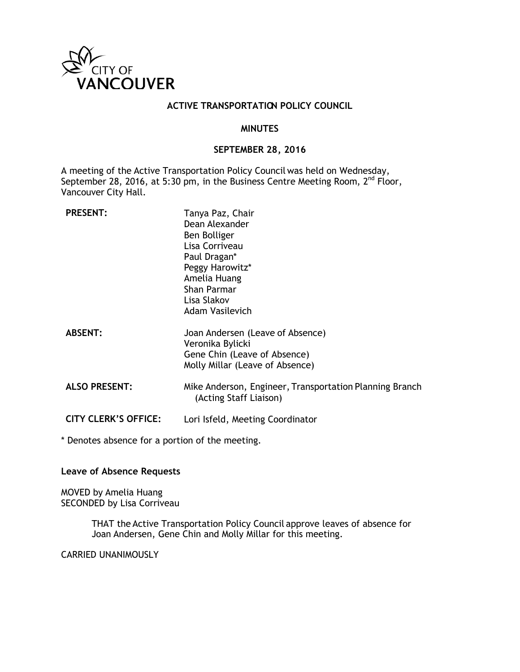

#### **ACTIVE TRANSPORTATION POLICY COUNCIL**

#### **MINUTES**

#### **SEPTEMBER 28, 2016**

A meeting of the Active Transportation Policy Council was held on Wednesday, September 28, 2016, at 5:30 pm, in the Business Centre Meeting Room, 2<sup>nd</sup> Floor, Vancouver City Hall.

| <b>PRESENT:</b>             | Tanya Paz, Chair<br>Dean Alexander<br>Ben Bolliger<br>Lisa Corriveau<br>Paul Dragan*<br>Peggy Harowitz*<br>Amelia Huang<br>Shan Parmar<br>Lisa Slakov<br>Adam Vasilevich |
|-----------------------------|--------------------------------------------------------------------------------------------------------------------------------------------------------------------------|
| <b>ABSENT:</b>              | Joan Andersen (Leave of Absence)<br>Veronika Bylicki<br>Gene Chin (Leave of Absence)<br>Molly Millar (Leave of Absence)                                                  |
| <b>ALSO PRESENT:</b>        | Mike Anderson, Engineer, Transportation Planning Branch<br>(Acting Staff Liaison)                                                                                        |
| <b>CITY CLERK'S OFFICE:</b> | Lori Isfeld, Meeting Coordinator                                                                                                                                         |

\* Denotes absence for a portion of the meeting.

#### **Leave of Absence Requests**

MOVED by Amelia Huang SECONDED by Lisa Corriveau

> THAT the Active Transportation Policy Council approve leaves of absence for Joan Andersen, Gene Chin and Molly Millar for this meeting.

CARRIED UNANIMOUSLY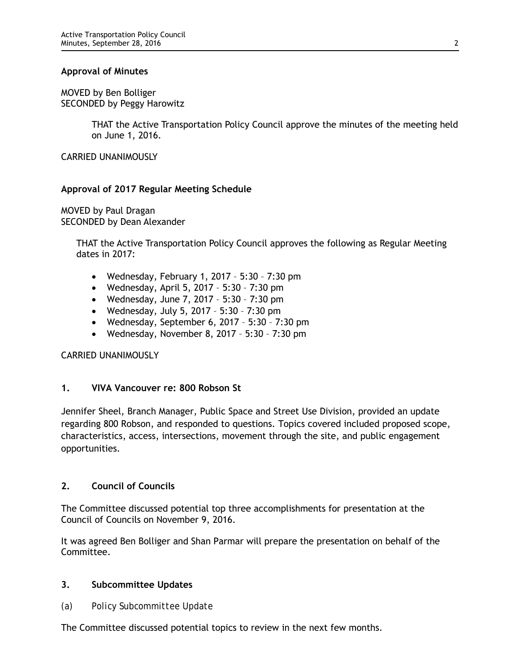#### **Approval of Minutes**

MOVED by Ben Bolliger SECONDED by Peggy Harowitz

> THAT the Active Transportation Policy Council approve the minutes of the meeting held on June 1, 2016.

CARRIED UNANIMOUSLY

# **Approval of 2017 Regular Meeting Schedule**

MOVED by Paul Dragan SECONDED by Dean Alexander

> THAT the Active Transportation Policy Council approves the following as Regular Meeting dates in 2017:

- Wednesday, February 1, 2017 5:30 7:30 pm
- Wednesday, April 5, 2017 5:30 7:30 pm
- Wednesday, June 7, 2017 5:30 7:30 pm
- Wednesday, July 5, 2017 5:30 7:30 pm
- Wednesday, September 6, 2017 5:30 7:30 pm
- Wednesday, November 8, 2017 5:30 7:30 pm

# CARRIED UNANIMOUSLY

# **1. VIVA Vancouver re: 800 Robson St**

Jennifer Sheel, Branch Manager, Public Space and Street Use Division, provided an update regarding 800 Robson, and responded to questions. Topics covered included proposed scope, characteristics, access, intersections, movement through the site, and public engagement opportunities.

# **2. Council of Councils**

The Committee discussed potential top three accomplishments for presentation at the Council of Councils on November 9, 2016.

It was agreed Ben Bolliger and Shan Parmar will prepare the presentation on behalf of the Committee.

# **3. Subcommittee Updates**

*(a) Policy Subcommittee Update*

The Committee discussed potential topics to review in the next few months.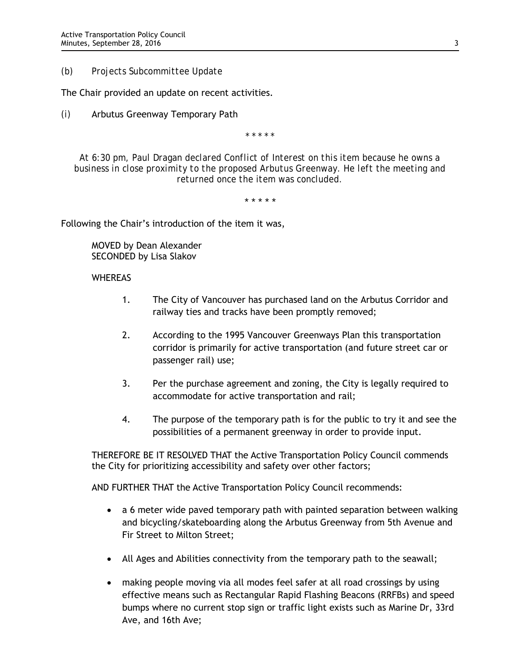*(b) Projects Subcommittee Update*

The Chair provided an update on recent activities.

*(i)* Arbutus Greenway Temporary Path

*\* \* \* \* \**

*At 6:30 pm, Paul Dragan declared Conflict of Interest on this item because he owns a business in close proximity to the proposed Arbutus Greenway. He left the meeting and returned once the item was concluded.* 

*\* \* \* \* \**

Following the Chair's introduction of the item it was,

MOVED by Dean Alexander SECONDED by Lisa Slakov

# WHEREAS

- 1. The City of Vancouver has purchased land on the Arbutus Corridor and railway ties and tracks have been promptly removed;
- 2. According to the 1995 Vancouver Greenways Plan this transportation corridor is primarily for active transportation (and future street car or passenger rail) use;
- 3. Per the purchase agreement and zoning, the City is legally required to accommodate for active transportation and rail;
- 4. The purpose of the temporary path is for the public to try it and see the possibilities of a permanent greenway in order to provide input.

THEREFORE BE IT RESOLVED THAT the Active Transportation Policy Council commends the City for prioritizing accessibility and safety over other factors;

AND FURTHER THAT the Active Transportation Policy Council recommends:

- a 6 meter wide paved temporary path with painted separation between walking and bicycling/skateboarding along the Arbutus Greenway from 5th Avenue and Fir Street to Milton Street;
- All Ages and Abilities connectivity from the temporary path to the seawall;
- making people moving via all modes feel safer at all road crossings by using effective means such as Rectangular Rapid Flashing Beacons (RRFBs) and speed bumps where no current stop sign or traffic light exists such as Marine Dr, 33rd Ave, and 16th Ave;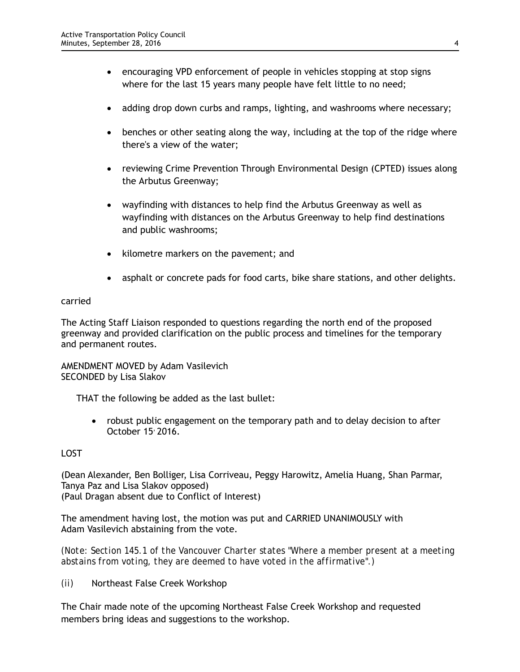- encouraging VPD enforcement of people in vehicles stopping at stop signs where for the last 15 years many people have felt little to no need;
- adding drop down curbs and ramps, lighting, and washrooms where necessary;
- benches or other seating along the way, including at the top of the ridge where there's a view of the water;
- reviewing Crime Prevention Through Environmental Design (CPTED) issues along the Arbutus Greenway;
- wayfinding with distances to help find the Arbutus Greenway as well as wayfinding with distances on the Arbutus Greenway to help find destinations and public washrooms;
- kilometre markers on the pavement; and
- asphalt or concrete pads for food carts, bike share stations, and other delights.

#### carried

The Acting Staff Liaison responded to questions regarding the north end of the proposed greenway and provided clarification on the public process and timelines for the temporary and permanent routes.

AMENDMENT MOVED by Adam Vasilevich SECONDED by Lisa Slakov

THAT the following be added as the last bullet:

• robust public engagement on the temporary path and to delay decision to after October 15' 2016.

# LOST

(Dean Alexander, Ben Bolliger, Lisa Corriveau, Peggy Harowitz, Amelia Huang, Shan Parmar, Tanya Paz and Lisa Slakov opposed) (Paul Dragan absent due to Conflict of Interest)

The amendment having lost, the motion was put and CARRIED UNANIMOUSLY with Adam Vasilevich abstaining from the vote.

*(Note: Section 145.1 of the Vancouver Charter states "Where a member present at a meeting abstains from voting, they are deemed to have voted in the affirmative".)*

*(ii)* Northeast False Creek Workshop

The Chair made note of the upcoming Northeast False Creek Workshop and requested members bring ideas and suggestions to the workshop.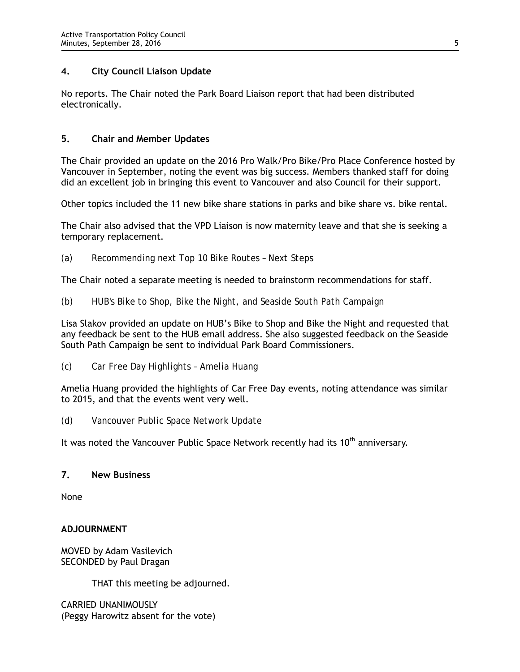# **4. City Council Liaison Update**

No reports. The Chair noted the Park Board Liaison report that had been distributed electronically.

# **5. Chair and Member Updates**

The Chair provided an update on the 2016 Pro Walk/Pro Bike/Pro Place Conference hosted by Vancouver in September, noting the event was big success. Members thanked staff for doing did an excellent job in bringing this event to Vancouver and also Council for their support.

Other topics included the 11 new bike share stations in parks and bike share vs. bike rental.

The Chair also advised that the VPD Liaison is now maternity leave and that she is seeking a temporary replacement.

*(a) Recommending next Top 10 Bike Routes – Next Steps*

The Chair noted a separate meeting is needed to brainstorm recommendations for staff.

*(b) HUB's Bike to Shop, Bike the Night, and Seaside South Path Campaign*

Lisa Slakov provided an update on HUB's Bike to Shop and Bike the Night and requested that any feedback be sent to the HUB email address. She also suggested feedback on the Seaside South Path Campaign be sent to individual Park Board Commissioners.

*(c) Car Free Day Highlights – Amelia Huang*

Amelia Huang provided the highlights of Car Free Day events, noting attendance was similar to 2015, and that the events went very well.

*(d) Vancouver Public Space Network Update*

It was noted the Vancouver Public Space Network recently had its  $10<sup>th</sup>$  anniversary.

# **7. New Business**

None

# **ADJOURNMENT**

MOVED by Adam Vasilevich SECONDED by Paul Dragan

THAT this meeting be adjourned.

CARRIED UNANIMOUSLY (Peggy Harowitz absent for the vote)